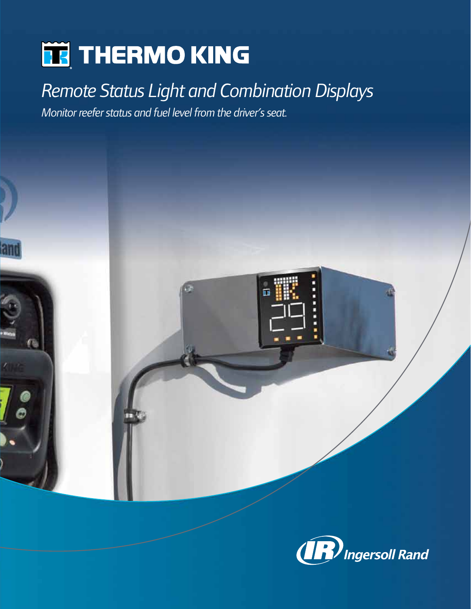# **TE** THERMO KING

lan

*Remote Status Light and Combination Displays*

*Monitor reefer status and fuel level from the driver's seat.*

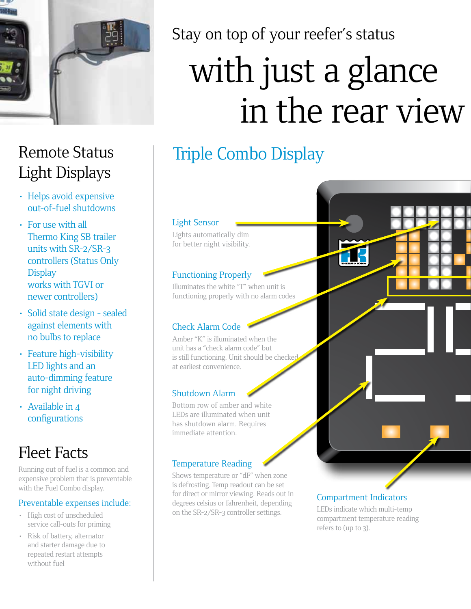

## Remote Status Light Displays

- Helps avoid expensive out-of-fuel shutdowns
- For use with all Thermo King SB trailer units with SR-2/SR-3 controllers (Status Only **Display** works with TGVI or newer controllers)
- Solid state design sealed against elements with no bulbs to replace
- Feature high-visibility LED lights and an auto-dimming feature for night driving
- Available in 4 configurations

## Fleet Facts

Running out of fuel is a common and expensive problem that is preventable with the Fuel Combo display.

#### Preventable expenses include:

- High cost of unscheduled service call-outs for priming
- Risk of battery, alternator and starter damage due to repeated restart attempts without fuel

Stay on top of your reefer's status

# with just a glance in the rear view

## Triple Combo Display

#### Light Sensor

Lights automatically dim for better night visibility.

#### Functioning Properly

Illuminates the white "T" when unit is functioning properly with no alarm codes

#### Check Alarm Code

Amber "K" is illuminated when the unit has a "check alarm code" but is still functioning. Unit should be checked at earliest convenience.

#### Shutdown Alarm

Bottom row of amber and white LEDs are illuminated when unit has shutdown alarm. Requires immediate attention.

#### Temperature Reading

Shows temperature or "dF" when zone is defrosting. Temp readout can be set for direct or mirror viewing. Reads out in degrees celsius or fahrenheit, depending on the SR-2/SR-3 controller settings.

#### Compartment Indicators

LEDs indicate which multi-temp compartment temperature reading refers to (up to 3).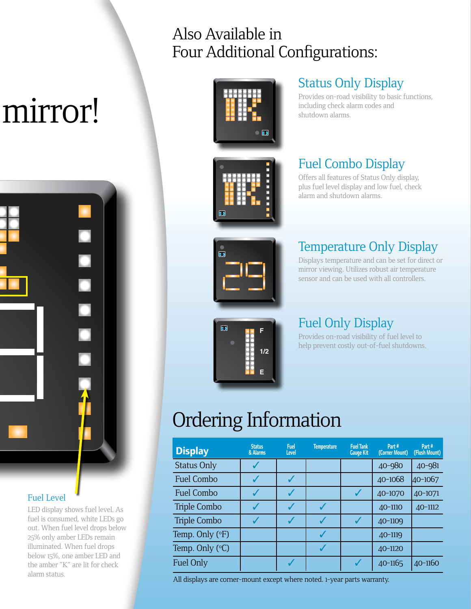# mirror!



#### Fuel Level

LED display shows fuel level. As fuel is consumed, white LEDs go out. When fuel level drops below 25% only amber LEDs remain illuminated. When fuel drops below 15%, one amber LED and the amber "K" are lit for check alarm status.

### Also Available in Four Additional Configurations:





# Ŧ

 $\overline{\mathbf{u}}$ 

#### Status Only Display

Provides on-road visibility to basic functions, including check alarm codes and shutdown alarms.

#### Fuel Combo Display

Offers all features of Status Only display, plus fuel level display and low fuel, check alarm and shutdown alarms.

#### Temperature Only Display

Displays temperature and can be set for direct or mirror viewing. Utilizes robust air temperature sensor and can be used with all controllers.

#### Fuel Only Display

Provides on-road visibility of fuel level to help prevent costly out-of-fuel shutdowns.

# Ordering Information

**F**

**1/2**

**E**

| <b>Display</b>     | <b>Status</b><br>& Alarms | <b>Fuel</b><br>Level | <b>Temperature</b> | <b>Fuel Tank</b><br><b>Gauge Kit</b> | Part#<br>(Corner Mount) | Part#<br>(Flush Mount) |
|--------------------|---------------------------|----------------------|--------------------|--------------------------------------|-------------------------|------------------------|
| <b>Status Only</b> |                           |                      |                    |                                      | 40-980                  | 40-981                 |
| Fuel Combo         |                           |                      |                    |                                      | 40-1068                 | 40-1067                |
| Fuel Combo         |                           |                      |                    |                                      | 40-1070                 | 40-1071                |
| Triple Combo       |                           |                      |                    |                                      | 40-1110                 | 40-1112                |
| Triple Combo       |                           |                      |                    |                                      | 40-1109                 |                        |
| Temp. Only (°F)    |                           |                      |                    |                                      | 40-1119                 |                        |
| Temp. Only (°C)    |                           |                      |                    |                                      | 40-1120                 |                        |
| Fuel Only          |                           |                      |                    |                                      | 40-1165                 | 40-1160                |

All displays are corner-mount except where noted. 1-year parts warranty.